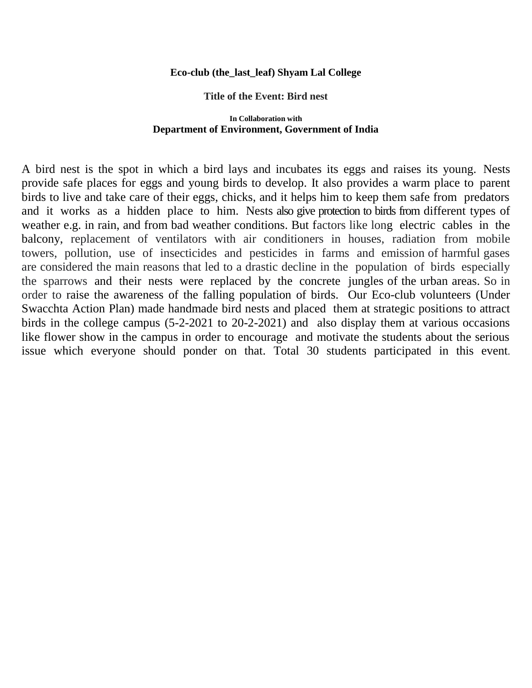## **Eco-club (the\_last\_leaf) Shyam Lal College**

## **Title of the Event: Bird nest**

## **In Collaboration with Department of Environment, Government of India**

A bird nest is the spot in which a bird lays and incubates its eggs and raises its young. Nests provide safe places for eggs and young birds to develop. It also provides a warm place to parent birds to live and take care of their eggs, chicks, and it helps him to keep them safe from predators and it works as a hidden place to him. Nests also give protection to birds from different types of weather e.g. in rain, and from bad weather conditions. But factors like long electric cables in the balcony, replacement of ventilators with air conditioners in houses, radiation from mobile towers, pollution, use of insecticides and pesticides in farms and emission of harmful gases are considered the main reasons that led to a drastic decline in the population of birds especially the sparrows and their nests were replaced by the concrete jungles of the urban areas. So in order to raise the awareness of the falling population of birds. Our Eco-club volunteers (Under Swacchta Action Plan) made handmade bird nests and placed them at strategic positions to attract birds in the college campus (5-2-2021 to 20-2-2021) and also display them at various occasions like flower show in the campus in order to encourage and motivate the students about the serious issue which everyone should ponder on that. Total 30 students participated in this event.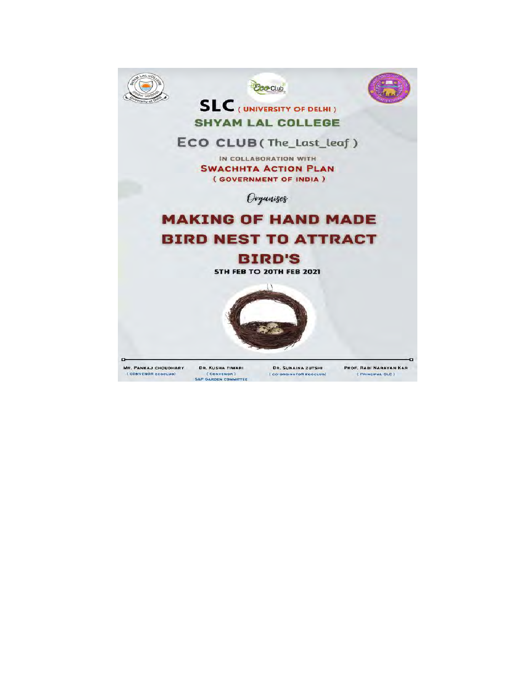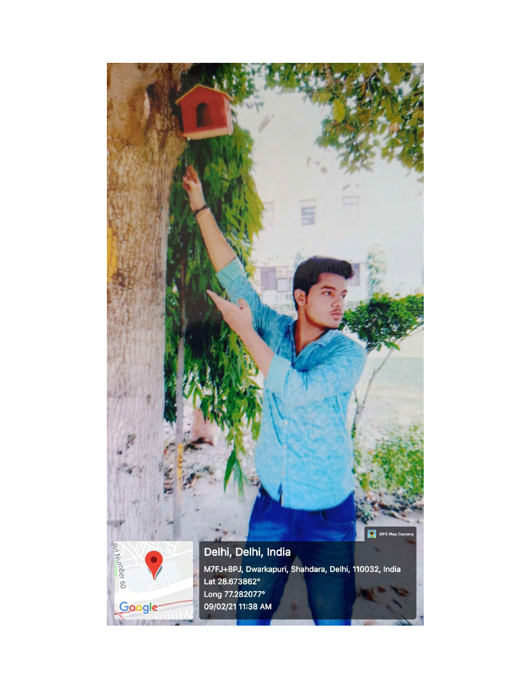